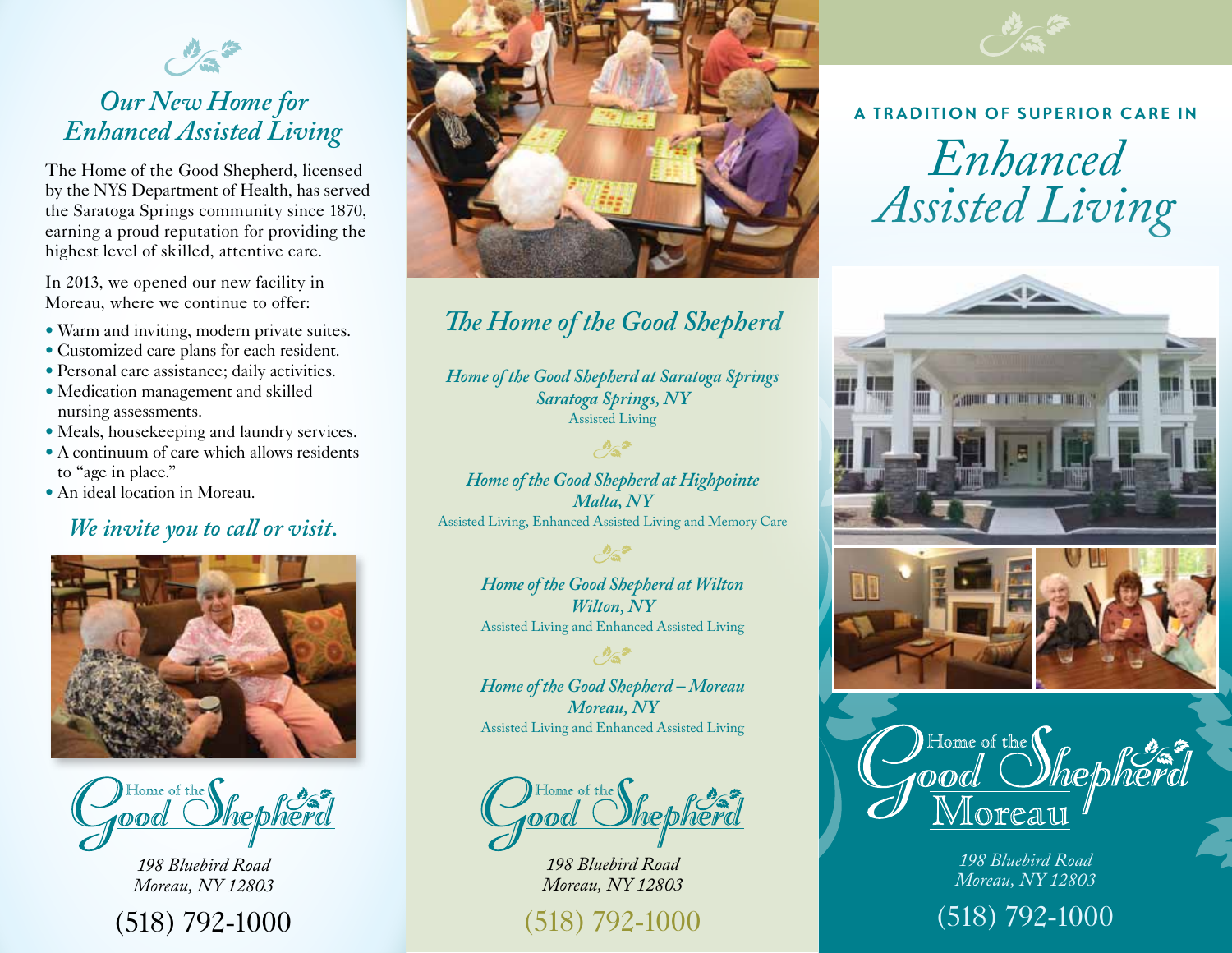

## *Our New Home for Enhanced Assisted Living*

The Home of the Good Shepherd, licensed by the NYS Department of Health, has served the Saratoga Springs community since 1870, earning a proud reputation for providing the highest level of skilled, attentive care.

In 2013, we opened our new facility in Moreau, where we continue to offer:

- Warm and inviting, modern private suites.
- Customized care plans for each resident.
- Personal care assistance; daily activities.
- Medication management and skilled nursing assessments.
- Meals, housekeeping and laundry services.
- A continuum of care which allows residents to "age in place."
- An ideal location in Moreau.

### *We invite you to call or visit.*



Home of the  $\bigl(\!\bigl(\!\bigl(\right.\!$ OOd

*198 Bluebird Road Moreau, NY 12803*





# *The Home of the Good Shepherd*

*Home of the Good Shepherd at Saratoga Springs Saratoga Springs, NY*  Assisted Living

 $\mathcal{O}_{\mathbf{a}}$ 

*Home of the Good Shepherd at Highpointe Malta, NY*  Assisted Living, Enhanced Assisted Living and Memory Care

> *Home of the Good Shepherd at Wilton Wilton, NY*  Assisted Living and Enhanced Assisted Living

 $\mathcal{O}_{\mathbf{S}}$ 

*Home of the Good Shepherd – Moreau Moreau, NY*  Assisted Living and Enhanced Assisted Living

 $\mathcal{O}_{\mathbf{S}}$ 

Home of the **(** 

*198 Bluebird Road Moreau, NY 12803*

(518) 792-1000



#### **A Tradition of Superior Care in**

*Enhanced Assisted Living*



Home of the *Mepherd* ood Ioreat

*198 Bluebird Road Moreau, NY 12803*

(518) 792-1000